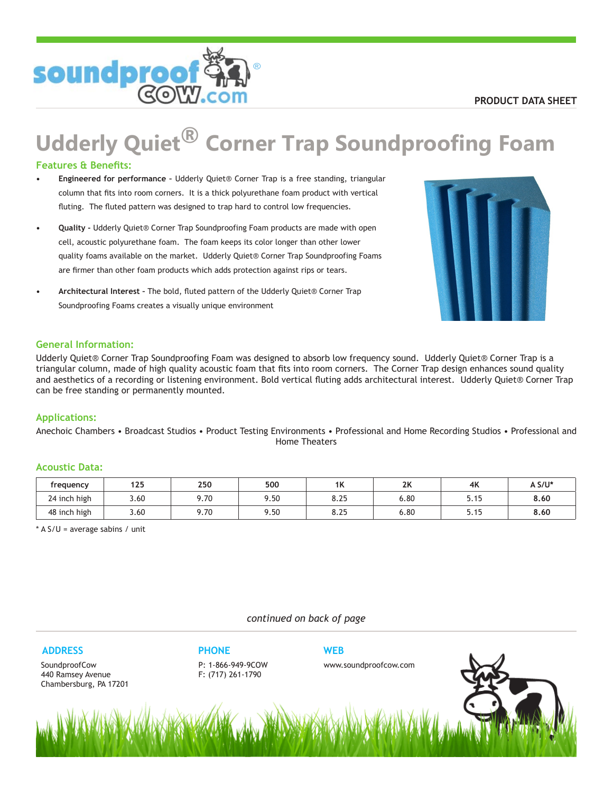

# **Udderly Quiet® Corner Trap Soundproofing Foam**

## **Features & Benefits:**

- **Engineered for performance** Udderly Quiet® Corner Trap is a free standing, triangular column that fits into room corners. It is a thick polyurethane foam product with vertical fluting. The fluted pattern was designed to trap hard to control low frequencies. **•**
- **Quality** Udderly Quiet® Corner Trap Soundproofing Foam products are made with open cell, acoustic polyurethane foam. The foam keeps its color longer than other lower quality foams available on the market. Udderly Quiet® Corner Trap Soundproofing Foams are firmer than other foam products which adds protection against rips or tears. **•**
- **Architectural Interest** The bold, fluted pattern of the Udderly Quiet® Corner Trap Soundproofing Foams creates a visually unique environment **•**



## **General Information:**

Udderly Quiet® Corner Trap Soundproofing Foam was designed to absorb low frequency sound. Udderly Quiet® Corner Trap is a triangular column, made of high quality acoustic foam that fits into room corners. The Corner Trap design enhances sound quality and aesthetics of a recording or listening environment. Bold vertical fluting adds architectural interest. Udderly Quiet® Corner Trap can be free standing or permanently mounted.

## **Applications:**

Anechoic Chambers • Broadcast Studios • Product Testing Environments • Professional and Home Recording Studios • Professional and Home Theaters

#### **Acoustic Data:**

| frequency    | 125  | 250  | 500  | 11<br>$\mathbf{r}$ | 2V<br>ΖN | 4K   | A S/U* |
|--------------|------|------|------|--------------------|----------|------|--------|
| 24 inch high | 3.60 | 9.70 | 9.50 | 975<br>o.zo        | 6.80     | 5.15 | 8.60   |
| 48 inch high | 3.60 | 9.70 | 9.50 | 975<br>o.zo        | 6.80     | 5.15 | 8.60   |

 $*$  A S/U = average sabins / unit

*continued on back of page*